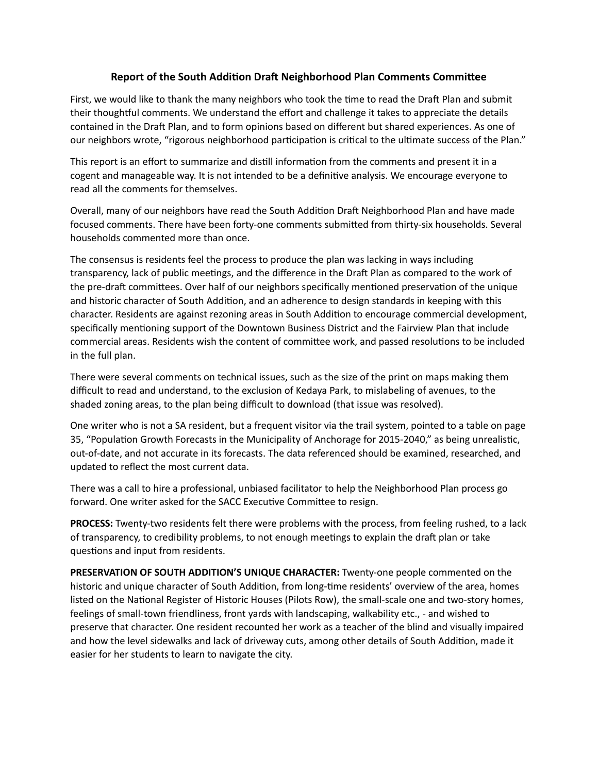## **Report of the South Addition Draft Neighborhood Plan Comments Committee**

First, we would like to thank the many neighbors who took the time to read the Draft Plan and submit their thoughtful comments. We understand the effort and challenge it takes to appreciate the details contained in the Draft Plan, and to form opinions based on different but shared experiences. As one of our neighbors wrote, "rigorous neighborhood participation is critical to the ultimate success of the Plan."

This report is an effort to summarize and distill information from the comments and present it in a cogent and manageable way. It is not intended to be a definitive analysis. We encourage everyone to read all the comments for themselves.

Overall, many of our neighbors have read the South Addition Draft Neighborhood Plan and have made focused comments. There have been forty-one comments submitted from thirty-six households. Several households commented more than once.

The consensus is residents feel the process to produce the plan was lacking in ways including transparency, lack of public meetings, and the difference in the Draft Plan as compared to the work of the pre-draft committees. Over half of our neighbors specifically mentioned preservation of the unique and historic character of South Addition, and an adherence to design standards in keeping with this character. Residents are against rezoning areas in South Addition to encourage commercial development, specifically mentioning support of the Downtown Business District and the Fairview Plan that include commercial areas. Residents wish the content of committee work, and passed resolutions to be included in the full plan.

There were several comments on technical issues, such as the size of the print on maps making them difficult to read and understand, to the exclusion of Kedaya Park, to mislabeling of avenues, to the shaded zoning areas, to the plan being difficult to download (that issue was resolved).

One writer who is not a SA resident, but a frequent visitor via the trail system, pointed to a table on page 35, "Population Growth Forecasts in the Municipality of Anchorage for 2015-2040," as being unrealistic, out-of-date, and not accurate in its forecasts. The data referenced should be examined, researched, and updated to reflect the most current data.

There was a call to hire a professional, unbiased facilitator to help the Neighborhood Plan process go forward. One writer asked for the SACC Executive Committee to resign.

**PROCESS:** Twenty-two residents felt there were problems with the process, from feeling rushed, to a lack of transparency, to credibility problems, to not enough meetings to explain the draft plan or take questions and input from residents.

**PRESERVATION OF SOUTH ADDITION'S UNIQUE CHARACTER:** Twenty-one people commented on the historic and unique character of South Addition, from long-time residents' overview of the area, homes listed on the National Register of Historic Houses (Pilots Row), the small-scale one and two-story homes, feelings of small-town friendliness, front yards with landscaping, walkability etc., - and wished to preserve that character. One resident recounted her work as a teacher of the blind and visually impaired and how the level sidewalks and lack of driveway cuts, among other details of South Addition, made it easier for her students to learn to navigate the city.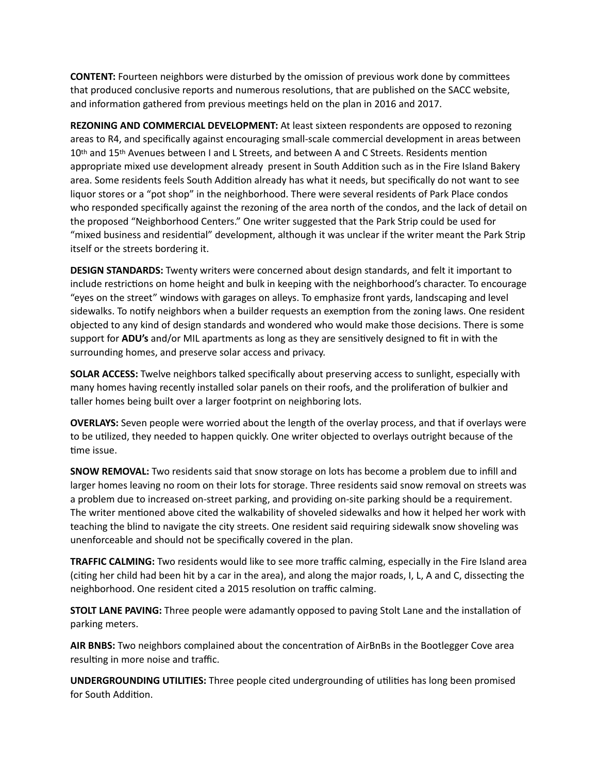**CONTENT:** Fourteen neighbors were disturbed by the omission of previous work done by committees that produced conclusive reports and numerous resolutions, that are published on the SACC website, and information gathered from previous meetings held on the plan in 2016 and 2017.

**REZONING AND COMMERCIAL DEVELOPMENT:** At least sixteen respondents are opposed to rezoning areas to R4, and specifically against encouraging small-scale commercial development in areas between 10<sup>th</sup> and 15<sup>th</sup> Avenues between I and L Streets, and between A and C Streets. Residents mention appropriate mixed use development already present in South Addition such as in the Fire Island Bakery area. Some residents feels South Addition already has what it needs, but specifically do not want to see liquor stores or a "pot shop" in the neighborhood. There were several residents of Park Place condos who responded specifically against the rezoning of the area north of the condos, and the lack of detail on the proposed "Neighborhood Centers." One writer suggested that the Park Strip could be used for "mixed business and residential" development, although it was unclear if the writer meant the Park Strip itself or the streets bordering it.

**DESIGN STANDARDS:** Twenty writers were concerned about design standards, and felt it important to include restrictions on home height and bulk in keeping with the neighborhood's character. To encourage "eyes on the street" windows with garages on alleys. To emphasize front yards, landscaping and level sidewalks. To notify neighbors when a builder requests an exemption from the zoning laws. One resident objected to any kind of design standards and wondered who would make those decisions. There is some support for **ADU's** and/or MIL apartments as long as they are sensitively designed to fit in with the surrounding homes, and preserve solar access and privacy.

**SOLAR ACCESS:** Twelve neighbors talked specifically about preserving access to sunlight, especially with many homes having recently installed solar panels on their roofs, and the proliferation of bulkier and taller homes being built over a larger footprint on neighboring lots.

**OVERLAYS:** Seven people were worried about the length of the overlay process, and that if overlays were to be utilized, they needed to happen quickly. One writer objected to overlays outright because of the time issue.

**SNOW REMOVAL:** Two residents said that snow storage on lots has become a problem due to infill and larger homes leaving no room on their lots for storage. Three residents said snow removal on streets was a problem due to increased on-street parking, and providing on-site parking should be a requirement. The writer mentioned above cited the walkability of shoveled sidewalks and how it helped her work with teaching the blind to navigate the city streets. One resident said requiring sidewalk snow shoveling was unenforceable and should not be specifically covered in the plan.

**TRAFFIC CALMING:** Two residents would like to see more traffic calming, especially in the Fire Island area (citing her child had been hit by a car in the area), and along the major roads, I, L, A and C, dissecting the neighborhood. One resident cited a 2015 resolution on traffic calming.

**STOLT LANE PAVING:** Three people were adamantly opposed to paving Stolt Lane and the installation of parking meters.

AIR BNBS: Two neighbors complained about the concentration of AirBnBs in the Bootlegger Cove area resulting in more noise and traffic.

**UNDERGROUNDING UTILITIES:** Three people cited undergrounding of utilities has long been promised for South Addition.